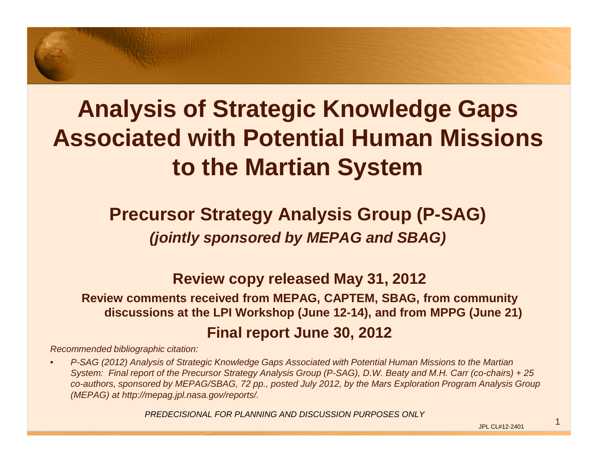## **Analysis of Strategic Knowledge Gaps Associated with Potential Human Missions to the Martian System**

#### **Precursor Strategy Analysis Group (P-SAG) (jointly sponsored by MEPAG and SBAG)**

#### **Review copy released May 31, 2012**

 **Review comments received from MEPAG, CAPTEM, SBAG, from community discussions at the LPI Workshop (June 12-14), and from MPPG (June 21)Final report June 30, 2012**

Recommended bibliographic citation:

• P-SAG (2012) Analysis of Strategic Knowledge Gaps Associated with Potential Human Missions to the Martian System: Final report of the Precursor Strategy Analysis Group (P-SAG), D.W. Beaty and M.H. Carr (co-chairs) + 25 co-authors, sponsored by MEPAG/SBAG, 72 pp., posted July 2012, by the Mars Exploration Program Analysis Group (MEPAG) at http://mepag.jpl.nasa.gov/reports/.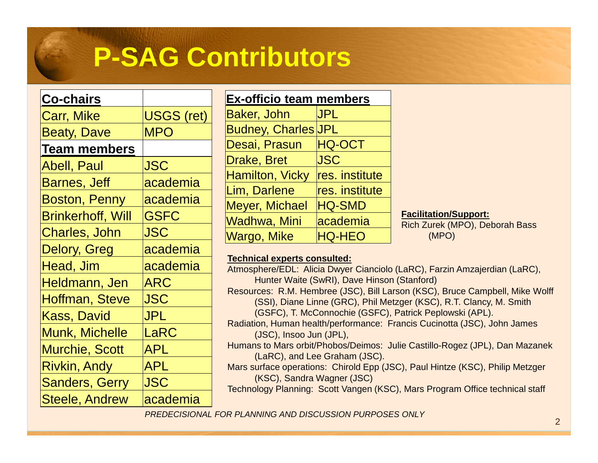# **P-SAG Contributors**

#### **Co-chairs**

| <b>Carr, Mike</b>        | <b>USGS (ret)</b> |
|--------------------------|-------------------|
| <b>Beaty, Dave</b>       | <b>MPO</b>        |
| <b>Team members</b>      |                   |
| <b>Abell, Paul</b>       | <b>JSC</b>        |
| <b>Barnes, Jeff</b>      | academia          |
| <b>Boston, Penny</b>     | academia          |
| <b>Brinkerhoff, Will</b> | <b>GSFC</b>       |
| Charles, John            | <b>JSC</b>        |
| <b>Delory, Greg</b>      | academia          |
| Head, Jim                | academia          |
| Heldmann, Jen            | ARC               |
| Hoffman, Steve           | <b>JSC</b>        |
| Kass, David              | JPL               |
| Munk, Michelle           | LaRC              |
| <b>Murchie, Scott</b>    | <b>APL</b>        |
| <b>Rivkin, Andy</b>      | <b>APL</b>        |
| <b>Sanders, Gerry</b>    | <b>JSC</b>        |
| Steele, Andrew           | academia          |

| <b>Ex-officio team members</b> |                |
|--------------------------------|----------------|
| <b>Baker, John</b>             | <b>JPL</b>     |
| <b>Budney, Charles JPL</b>     |                |
| Desai, Prasun                  | <b>HQ-OCT</b>  |
| Drake, Bret                    | <b>JSC</b>     |
| <b>Hamilton, Vicky</b>         | res. institute |
| Lim, Darlene                   | res. institute |
| <b>Meyer, Michael</b>          | <b>HQ-SMD</b>  |
| Wadhwa, Mini                   | academia       |
| <b>Wargo, Mike</b>             | <b>HQ-HEO</b>  |

**Facilitation/Support:** 

 Rich Zurek (MPO), Deborah Bass (MPO)

#### **Technical experts consulted:**

 Atmosphere/EDL: Alicia Dwyer Cianciolo (LaRC), Farzin Amzajerdian (LaRC), Hunter Waite (SwRI), Dave Hinson (Stanford) Resources: R.M. Hembree (JSC), Bill Larson (KSC), Bruce Campbell, Mike Wolff (SSI), Diane Linne (GRC), Phil Metzger (KSC), R.T. Clancy, M. Smith (GSFC), T. McConnochie (GSFC), Patrick Peplowski (APL). Radiation, Human health/performance: Francis Cucinotta (JSC), John James (JSC), Insoo Jun (JPL), Humans to Mars orbit/Phobos/Deimos: Julie Castillo-Rogez (JPL), Dan Mazanek (LaRC), and Lee Graham (JSC). Mars surface operations: Chirold Epp (JSC), Paul Hintze (KSC), Philip Metzger (KSC), Sandra Wagner (JSC)

Technology Planning: Scott Vangen (KSC), Mars Program Office technical staff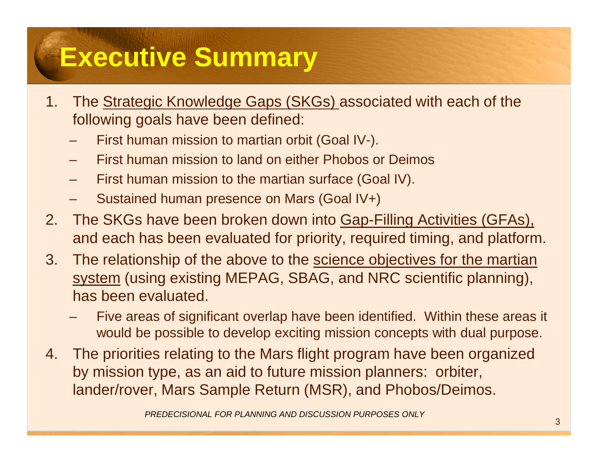# **Executive Summary**

- 1. The Strategic Knowledge Gaps (SKGs) associated with each of the following goals have been defined:
	- First human mission to martian orbit (Goal IV-).
	- First human mission to land on either Phobos or Deimos
	- First human mission to the martian surface (Goal IV).
	- Sustained human presence on Mars (Goal IV+)
- 2. The SKGs have been broken down into Gap-Filling Activities (GFAs), and each has been evaluated for priority, required timing, and platform.
- 3. The relationship of the above to the science objectives for the martian system (using existing MEPAG, SBAG, and NRC scientific planning), has been evaluated.
	- Five areas of significant overlap have been identified. Within these areas it would be possible to develop exciting mission concepts with dual purpose.
- 4. The priorities relating to the Mars flight program have been organized by mission type, as an aid to future mission planners: orbiter, lander/rover, Mars Sample Return (MSR), and Phobos/Deimos.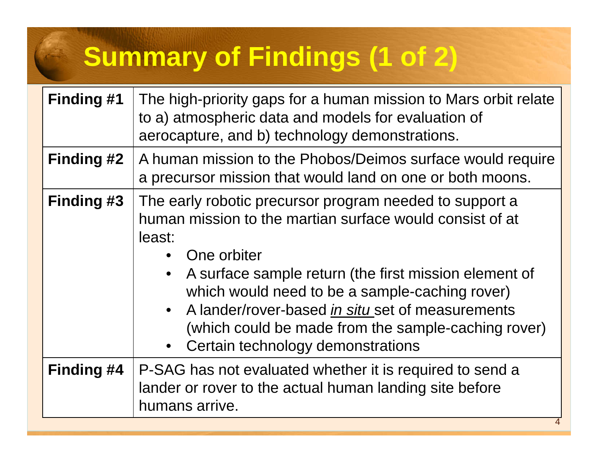# **Summary of Findings (1 of 2)**

| <b>Finding #1</b> | The high-priority gaps for a human mission to Mars orbit relate<br>to a) atmospheric data and models for evaluation of<br>aerocapture, and b) technology demonstrations.                                                                                                                                                                                                                                               |
|-------------------|------------------------------------------------------------------------------------------------------------------------------------------------------------------------------------------------------------------------------------------------------------------------------------------------------------------------------------------------------------------------------------------------------------------------|
| <b>Finding #2</b> | A human mission to the Phobos/Deimos surface would require<br>a precursor mission that would land on one or both moons.                                                                                                                                                                                                                                                                                                |
| <b>Finding #3</b> | The early robotic precursor program needed to support a<br>human mission to the martian surface would consist of at<br>least:<br>One orbiter<br>A surface sample return (the first mission element of<br>which would need to be a sample-caching rover)<br>• A lander/rover-based in situ set of measurements<br>(which could be made from the sample-caching rover)<br>Certain technology demonstrations<br>$\bullet$ |
| Finding #4        | P-SAG has not evaluated whether it is required to send a<br>lander or rover to the actual human landing site before<br>humans arrive.                                                                                                                                                                                                                                                                                  |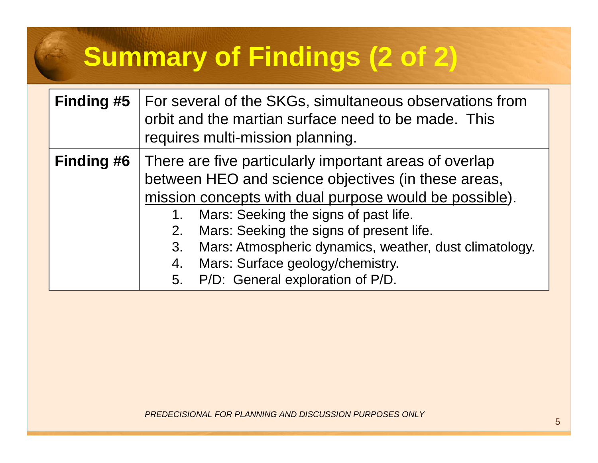# **Summary of Findings (2 of 2)**

| <b>Finding #5</b> | For several of the SKGs, simultaneous observations from<br>orbit and the martian surface need to be made. This<br>requires multi-mission planning.                                                                                                                                                                                                                                                                     |
|-------------------|------------------------------------------------------------------------------------------------------------------------------------------------------------------------------------------------------------------------------------------------------------------------------------------------------------------------------------------------------------------------------------------------------------------------|
| <b>Finding #6</b> | There are five particularly important areas of overlap<br>between HEO and science objectives (in these areas,<br>mission concepts with dual purpose would be possible).<br>Mars: Seeking the signs of past life.<br>Mars: Seeking the signs of present life.<br>2.<br>Mars: Atmospheric dynamics, weather, dust climatology.<br>3.<br>Mars: Surface geology/chemistry.<br>4.<br>P/D: General exploration of P/D.<br>5. |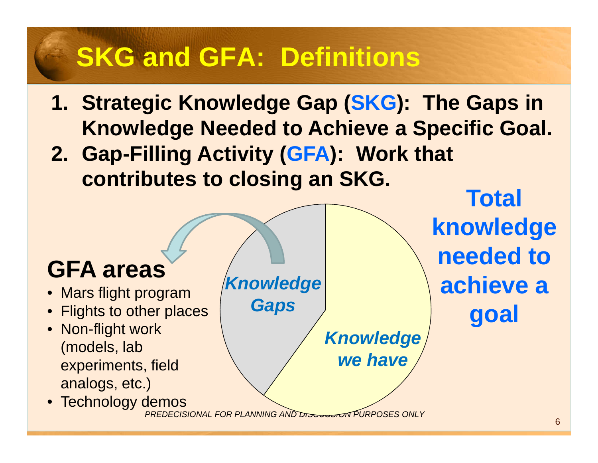# **SKG and GFA: Definitions**

- **1. Strategic Knowledge Gap (SKG): The Gaps in Knowledge Needed to Achieve a Specific Goal.**
- **2. Gap-Filling Activity (GFA): Work that contributes to closing an SKG.**

## **GFA areas**

- Mars flight program
- Flights to other places•
- Non-flight work (models, lab experiments, field analogs, etc.)
- Technology demos

**Knowledge Gaps**

> **Knowledge we have**

**Total knowledge needed to achieve a goal**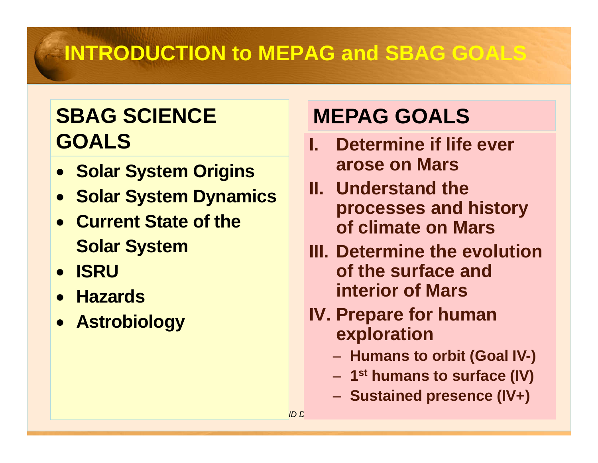## **INTRODUCTION to MEPAG and SBAG GOALS**

### **SBAG SCIENCE MEPAG GOALS GOALS**

- **Solar System Origins**
- **Solar System Dynamics**
- **Current State of the Solar System**
- **ISRU**
- **Hazards**
- **Astrobiology**

- **I. Determine if life ever arose on Mars**
- **II. Understand the processes and history of climate on Mars**
- **III. Determine the evolution of the surface and interior of Mars**
- **IV. Prepare for human exploration**
	- Humane tr **Humans to orbit (Goal IV-)**
	- **1st humans to surface (IV)**
	- –**Sustained presence (IV+)**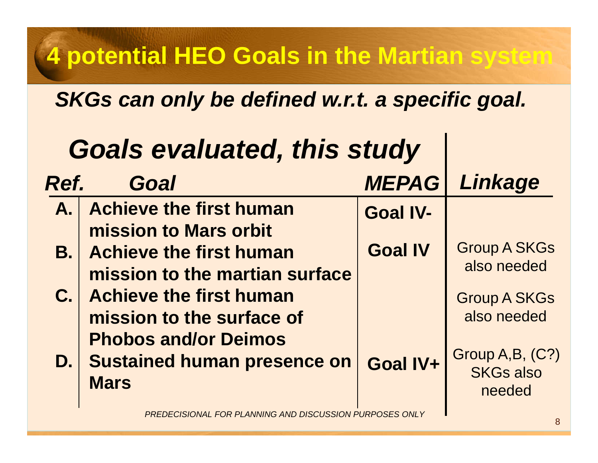## **4 potential HEO Goals in the Martian system**

### **SKGs can only be defined w.r.t. a specific goal.**

|      | <b>Goals evaluated, this study</b>                                           |                 |                                               |
|------|------------------------------------------------------------------------------|-----------------|-----------------------------------------------|
| Ref. | Goal                                                                         | <b>MEPAG</b>    | Linkage                                       |
|      | A. Achieve the first human<br>mission to Mars orbit                          | <b>Goal IV-</b> |                                               |
|      | <b>B.</b> Achieve the first human<br>mission to the martian surface          | <b>Goal IV</b>  | <b>Group A SKGs</b><br>also needed            |
|      | <b>C.</b> Achieve the first human<br>mission to the surface of               |                 | <b>Group A SKGs</b><br>also needed            |
|      | <b>Phobos and/or Deimos</b><br>D. Sustained human presence on<br><b>Mars</b> | Goal IV+        | Group A,B, (C?)<br><b>SKGs also</b><br>needed |
|      | PREDECISIONAL FOR PLANNING AND DISCUSSION PURPOSES ONLY                      |                 |                                               |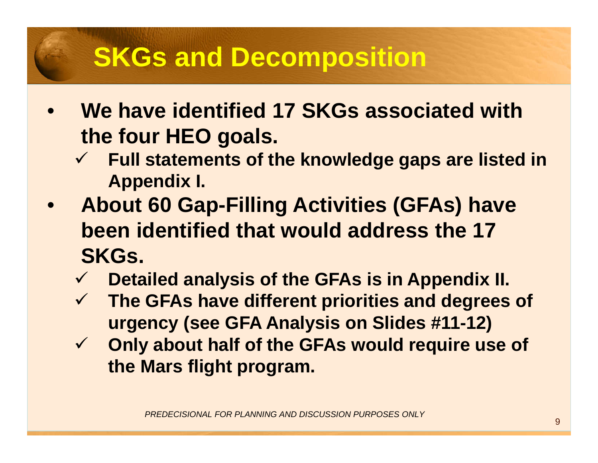## **SKGs and Decomposition**

- $\bullet$  **We have identified 17 SKGs associated with the four HEO goals.**
	- **Full statements of the knowledge gaps are listed in Appendix I.**
- $\bullet$  **About 60 Gap-Filling Activities (GFAs) have been identified that would address the 17 SKGs.**
	- $\checkmark$ **Detailed analysis of the GFAs is in Appendix II.**
	- **The GFAs have different priorities and degrees of urgency (see GFA Analysis on Slides #11-12)**
	- $\checkmark$  **Only about half of the GFAs would require use of the Mars flight program.**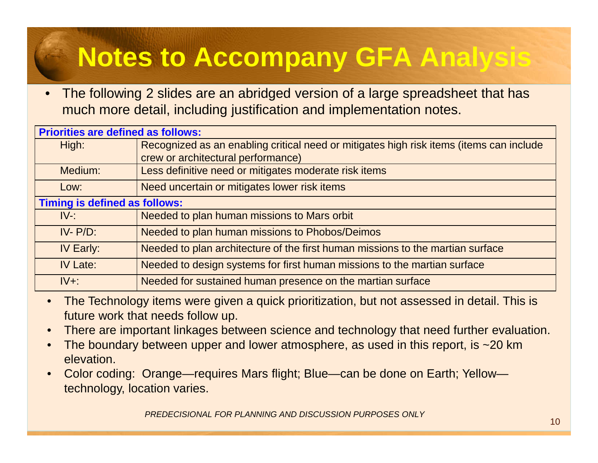# **Notes to Accompany GFA Analysis**

• The following 2 slides are an abridged version of a large spreadsheet that has much more detail, including justification and implementation notes.

| <b>Priorities are defined as follows:</b> |                                                                                         |
|-------------------------------------------|-----------------------------------------------------------------------------------------|
| High:                                     | Recognized as an enabling critical need or mitigates high risk items (items can include |
|                                           | crew or architectural performance)                                                      |
| Medium:                                   | Less definitive need or mitigates moderate risk items                                   |
| Low:                                      | Need uncertain or mitigates lower risk items                                            |
| <b>Timing is defined as follows:</b>      |                                                                                         |
| $IV-$ :                                   | Needed to plan human missions to Mars orbit                                             |
| $IV - P/D$ :                              | Needed to plan human missions to Phobos/Deimos                                          |
| IV Early:                                 | Needed to plan architecture of the first human missions to the martian surface          |
| <b>IV Late:</b>                           | Needed to design systems for first human missions to the martian surface                |
| $IV+$ :                                   | Needed for sustained human presence on the martian surface                              |

- • The Technology items were given a quick prioritization, but not assessed in detail. This is future work that needs follow up.
- •There are important linkages between science and technology that need further evaluation.
- •The boundary between upper and lower atmosphere, as used in this report, is  $\sim$ 20 km elevation.
- • Color coding: Orange—requires Mars flight; Blue—can be done on Earth; Yellowtechnology, location varies.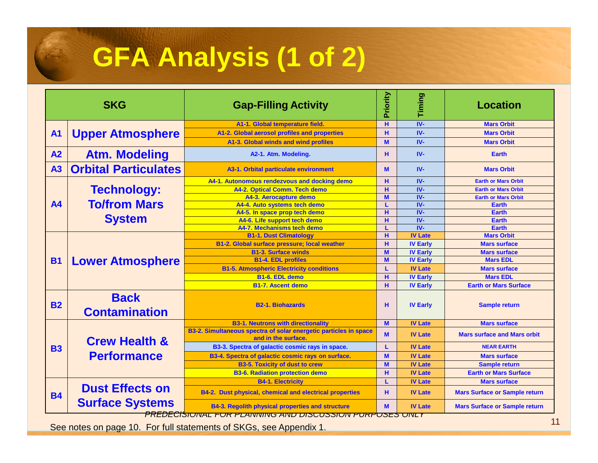# **GFA Analysis (1 of 2)**

|                | <b>SKG</b>                          | <b>Gap-Filling Activity</b>                                                                                               |                                                                                                                                                                                                                                                                                                                                                                                                                                                                                                                                                                                                                                                                                                                                                                                                                               | Timing         | <b>Location</b>                      |  |
|----------------|-------------------------------------|---------------------------------------------------------------------------------------------------------------------------|-------------------------------------------------------------------------------------------------------------------------------------------------------------------------------------------------------------------------------------------------------------------------------------------------------------------------------------------------------------------------------------------------------------------------------------------------------------------------------------------------------------------------------------------------------------------------------------------------------------------------------------------------------------------------------------------------------------------------------------------------------------------------------------------------------------------------------|----------------|--------------------------------------|--|
|                |                                     | A1-1. Global temperature field.                                                                                           | H.                                                                                                                                                                                                                                                                                                                                                                                                                                                                                                                                                                                                                                                                                                                                                                                                                            | $IV -$         | <b>Mars Orbit</b>                    |  |
| <b>A1</b>      | <b>Upper Atmosphere</b>             | A1-2. Global aerosol profiles and properties                                                                              |                                                                                                                                                                                                                                                                                                                                                                                                                                                                                                                                                                                                                                                                                                                                                                                                                               |                |                                      |  |
|                |                                     | A1-3. Global winds and wind profiles                                                                                      | M                                                                                                                                                                                                                                                                                                                                                                                                                                                                                                                                                                                                                                                                                                                                                                                                                             | $IV -$         | <b>Mars Orbit</b>                    |  |
| A2             | <b>Atm. Modeling</b>                | A2-1. Atm. Modeling.                                                                                                      | н                                                                                                                                                                                                                                                                                                                                                                                                                                                                                                                                                                                                                                                                                                                                                                                                                             | $IV -$         | <b>Earth</b>                         |  |
| A <sub>3</sub> | <b>Orbital Particulates</b>         | A3-1. Orbital particulate environment                                                                                     | $IV -$<br>н<br><b>Mars Orbit</b><br>$IV -$<br><b>Mars Orbit</b><br>M<br>$IV -$<br>H.<br><b>Earth or Mars Orbit</b><br>IV-<br>н<br><b>Earth or Mars Orbit</b><br>M<br>$IV -$<br><b>Earth or Mars Orbit</b><br>$IV -$<br><b>Earth</b><br>$IV -$<br>H.<br><b>Earth</b><br>$IV -$<br>н<br><b>Earth</b><br>$IV -$<br><b>Earth</b><br>н<br><b>IV Late</b><br><b>Mars Orbit</b><br>н<br><b>IV Early</b><br><b>Mars surface</b><br>M<br><b>IV Early</b><br><b>Mars surface</b><br>M<br><b>IV Early</b><br><b>Mars EDL</b><br><b>IV Late</b><br><b>Mars surface</b><br>L<br>н<br><b>IV Early</b><br><b>Mars EDL</b><br>н<br><b>IV Early</b><br><b>Earth or Mars Surface</b><br><b>IV Early</b><br><b>Sample return</b><br>н<br>M<br><b>IV Late</b><br><b>Mars surface</b><br><b>IV Late</b><br><b>Mars surface and Mars orbit</b><br>M |                |                                      |  |
|                |                                     | A4-1. Autonomous rendezvous and docking demo                                                                              |                                                                                                                                                                                                                                                                                                                                                                                                                                                                                                                                                                                                                                                                                                                                                                                                                               |                |                                      |  |
|                | <b>Technology:</b>                  | A4-2. Optical Comm. Tech demo                                                                                             |                                                                                                                                                                                                                                                                                                                                                                                                                                                                                                                                                                                                                                                                                                                                                                                                                               |                |                                      |  |
|                |                                     | A4-3. Aerocapture demo                                                                                                    |                                                                                                                                                                                                                                                                                                                                                                                                                                                                                                                                                                                                                                                                                                                                                                                                                               |                |                                      |  |
| <b>A4</b>      | <b>To/from Mars</b>                 | A4-4. Auto systems tech demo                                                                                              |                                                                                                                                                                                                                                                                                                                                                                                                                                                                                                                                                                                                                                                                                                                                                                                                                               |                |                                      |  |
|                |                                     | A4-5. In space prop tech demo                                                                                             |                                                                                                                                                                                                                                                                                                                                                                                                                                                                                                                                                                                                                                                                                                                                                                                                                               |                |                                      |  |
|                | <b>System</b>                       | A4-6. Life support tech demo                                                                                              |                                                                                                                                                                                                                                                                                                                                                                                                                                                                                                                                                                                                                                                                                                                                                                                                                               |                |                                      |  |
|                |                                     | A4-7. Mechanisms tech demo                                                                                                |                                                                                                                                                                                                                                                                                                                                                                                                                                                                                                                                                                                                                                                                                                                                                                                                                               |                |                                      |  |
|                |                                     | <b>B1-1. Dust Climatology</b>                                                                                             |                                                                                                                                                                                                                                                                                                                                                                                                                                                                                                                                                                                                                                                                                                                                                                                                                               |                |                                      |  |
|                |                                     | <b>B1-2. Global surface pressure; local weather</b>                                                                       |                                                                                                                                                                                                                                                                                                                                                                                                                                                                                                                                                                                                                                                                                                                                                                                                                               |                |                                      |  |
|                |                                     | <b>B1-3. Surface winds</b>                                                                                                |                                                                                                                                                                                                                                                                                                                                                                                                                                                                                                                                                                                                                                                                                                                                                                                                                               |                |                                      |  |
| <b>B1</b>      | <b>Lower Atmosphere</b>             | <b>B1-4. EDL profiles</b>                                                                                                 |                                                                                                                                                                                                                                                                                                                                                                                                                                                                                                                                                                                                                                                                                                                                                                                                                               |                |                                      |  |
|                |                                     | <b>B1-5. Atmospheric Electricity conditions</b>                                                                           |                                                                                                                                                                                                                                                                                                                                                                                                                                                                                                                                                                                                                                                                                                                                                                                                                               |                |                                      |  |
|                |                                     | B1-6. EDL demo                                                                                                            |                                                                                                                                                                                                                                                                                                                                                                                                                                                                                                                                                                                                                                                                                                                                                                                                                               |                |                                      |  |
|                |                                     | <b>B1-7. Ascent demo</b>                                                                                                  |                                                                                                                                                                                                                                                                                                                                                                                                                                                                                                                                                                                                                                                                                                                                                                                                                               |                |                                      |  |
| <b>B2</b>      | <b>Back</b><br><b>Contamination</b> | <b>B2-1. Biohazards</b>                                                                                                   |                                                                                                                                                                                                                                                                                                                                                                                                                                                                                                                                                                                                                                                                                                                                                                                                                               |                |                                      |  |
|                |                                     | <b>B3-1. Neutrons with directionality</b>                                                                                 |                                                                                                                                                                                                                                                                                                                                                                                                                                                                                                                                                                                                                                                                                                                                                                                                                               |                |                                      |  |
|                | <b>Crew Health &amp;</b>            | B3-2. Simultaneous spectra of solar energetic particles in space<br>and in the surface.                                   |                                                                                                                                                                                                                                                                                                                                                                                                                                                                                                                                                                                                                                                                                                                                                                                                                               |                |                                      |  |
| <b>B3</b>      |                                     | B3-3. Spectra of galactic cosmic rays in space.                                                                           |                                                                                                                                                                                                                                                                                                                                                                                                                                                                                                                                                                                                                                                                                                                                                                                                                               | <b>IV Late</b> | <b>NEAR EARTH</b>                    |  |
|                | <b>Performance</b>                  | B3-4. Spectra of galactic cosmic rays on surface.                                                                         | M                                                                                                                                                                                                                                                                                                                                                                                                                                                                                                                                                                                                                                                                                                                                                                                                                             | <b>IV Late</b> | <b>Mars surface</b>                  |  |
|                |                                     | <b>B3-5. Toxicity of dust to crew</b>                                                                                     | M                                                                                                                                                                                                                                                                                                                                                                                                                                                                                                                                                                                                                                                                                                                                                                                                                             | <b>IV Late</b> | <b>Sample return</b>                 |  |
|                |                                     | <b>B3-6. Radiation protection demo</b>                                                                                    | н                                                                                                                                                                                                                                                                                                                                                                                                                                                                                                                                                                                                                                                                                                                                                                                                                             | <b>IV Late</b> | <b>Earth or Mars Surface</b>         |  |
|                |                                     | <b>B4-1. Electricity</b>                                                                                                  |                                                                                                                                                                                                                                                                                                                                                                                                                                                                                                                                                                                                                                                                                                                                                                                                                               | <b>IV Late</b> | <b>Mars surface</b>                  |  |
| <b>B4</b>      | <b>Dust Effects on</b>              | B4-2. Dust physical, chemical and electrical properties                                                                   | н                                                                                                                                                                                                                                                                                                                                                                                                                                                                                                                                                                                                                                                                                                                                                                                                                             | <b>IV Late</b> | <b>Mars Surface or Sample return</b> |  |
|                | <b>Surface Systems</b>              | <b>B4-3. Regolith physical properties and structure</b><br><u>PREDECISIUNAL FUR PLANNING AND DISCUSSIUN PURPUSES UNLY</u> | M                                                                                                                                                                                                                                                                                                                                                                                                                                                                                                                                                                                                                                                                                                                                                                                                                             | <b>IV Late</b> | <b>Mars Surface or Sample return</b> |  |

See notes on page 10. For full statements of SKGs, see Appendix 1.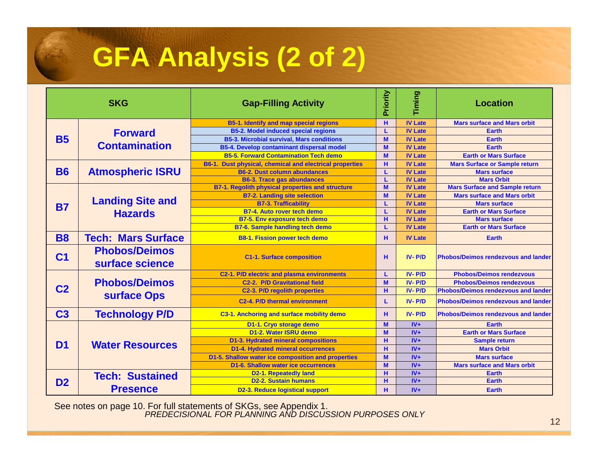# **GFA Analysis (2 of 2)**

|                                  | <b>SKG</b>                                                                                                                                                                                                                                                                                                                                                                                                                                                                                                          | <b>Gap-Filling Activity</b>                             | Priority                                                                                                                                                                                                                                                                                                                                                                                                                                                                                                                                                                                                                                                                                                            | Timing                                                                                                                                                                                                                                                                                                                                                                                                                                                                          | <b>Location</b>                      |
|----------------------------------|---------------------------------------------------------------------------------------------------------------------------------------------------------------------------------------------------------------------------------------------------------------------------------------------------------------------------------------------------------------------------------------------------------------------------------------------------------------------------------------------------------------------|---------------------------------------------------------|---------------------------------------------------------------------------------------------------------------------------------------------------------------------------------------------------------------------------------------------------------------------------------------------------------------------------------------------------------------------------------------------------------------------------------------------------------------------------------------------------------------------------------------------------------------------------------------------------------------------------------------------------------------------------------------------------------------------|---------------------------------------------------------------------------------------------------------------------------------------------------------------------------------------------------------------------------------------------------------------------------------------------------------------------------------------------------------------------------------------------------------------------------------------------------------------------------------|--------------------------------------|
|                                  |                                                                                                                                                                                                                                                                                                                                                                                                                                                                                                                     | <b>B5-1. Identify and map special regions</b>           | н                                                                                                                                                                                                                                                                                                                                                                                                                                                                                                                                                                                                                                                                                                                   | <b>IV Late</b>                                                                                                                                                                                                                                                                                                                                                                                                                                                                  | <b>Mars surface and Mars orbit</b>   |
|                                  | <b>Forward</b>                                                                                                                                                                                                                                                                                                                                                                                                                                                                                                      | <b>B5-2. Model induced special regions</b>              | L                                                                                                                                                                                                                                                                                                                                                                                                                                                                                                                                                                                                                                                                                                                   | <b>IV Late</b>                                                                                                                                                                                                                                                                                                                                                                                                                                                                  | <b>Earth</b>                         |
| <b>B5</b>                        |                                                                                                                                                                                                                                                                                                                                                                                                                                                                                                                     | <b>B5-3. Microbial survival. Mars conditions</b>        |                                                                                                                                                                                                                                                                                                                                                                                                                                                                                                                                                                                                                                                                                                                     | <b>IV Late</b>                                                                                                                                                                                                                                                                                                                                                                                                                                                                  | Earth                                |
|                                  | <b>Contamination</b>                                                                                                                                                                                                                                                                                                                                                                                                                                                                                                | B5-4. Develop contaminant dispersal model               | M                                                                                                                                                                                                                                                                                                                                                                                                                                                                                                                                                                                                                                                                                                                   | <b>IV Late</b>                                                                                                                                                                                                                                                                                                                                                                                                                                                                  | Earth                                |
|                                  | <b>B5-5. Forward Contamination Tech demo</b><br><b>Atmospheric ISRU</b><br><b>B6-2. Dust column abundances</b><br><b>B6-3. Trace gas abundances</b><br><b>B7-2. Landing site selection</b><br><b>Landing Site and</b><br><b>B7-3. Trafficability</b><br><b>B7-4. Auto rover tech demo</b><br><b>Hazards</b><br><b>B7-5. Env exposure tech demo</b><br><b>B7-6. Sample handling tech demo</b><br><b>B8-1. Fission power tech demo</b><br><b>Phobos/Deimos</b><br><b>C1-1. Surface composition</b><br>surface science |                                                         | M                                                                                                                                                                                                                                                                                                                                                                                                                                                                                                                                                                                                                                                                                                                   | <b>IV Late</b>                                                                                                                                                                                                                                                                                                                                                                                                                                                                  | <b>Earth or Mars Surface</b>         |
|                                  |                                                                                                                                                                                                                                                                                                                                                                                                                                                                                                                     | B6-1. Dust physical, chemical and electrical properties | H.                                                                                                                                                                                                                                                                                                                                                                                                                                                                                                                                                                                                                                                                                                                  | <b>IV Late</b>                                                                                                                                                                                                                                                                                                                                                                                                                                                                  | <b>Mars Surface or Sample return</b> |
| <b>B6</b>                        |                                                                                                                                                                                                                                                                                                                                                                                                                                                                                                                     |                                                         | M<br><b>IV Late</b><br>L<br><b>Mars surface</b><br><b>IV Late</b><br><b>Mars Orbit</b><br>L<br>M<br><b>IV Late</b><br>M<br><b>IV Late</b><br><b>Mars surface</b><br><b>IV Late</b><br>L<br><b>IV Late</b><br>L.<br>H.<br><b>IV Late</b><br><b>Mars surface</b><br><b>IV Late</b><br>L<br>н<br><b>IV Late</b><br><b>Earth</b><br>$IV - P/D$<br>н<br>$IV - P/D$<br>L<br>M<br>$IV - P/D$<br>н<br>$IV - P/D$<br>$IV - P/D$<br>L.<br>н<br>$IV - P/D$<br>M<br>$IV +$<br><b>Earth</b><br>M<br>$IV +$<br>$IV +$<br>н<br><b>Sample return</b><br>н<br>$IV +$<br><b>Mars Orbit</b><br>M<br>$IV +$<br><b>Mars surface</b><br>M<br>$IV +$<br>н<br>$IV +$<br><b>Earth</b><br>н<br>$IV +$<br>Earth<br>н<br>$IV +$<br><b>Earth</b> |                                                                                                                                                                                                                                                                                                                                                                                                                                                                                 |                                      |
|                                  |                                                                                                                                                                                                                                                                                                                                                                                                                                                                                                                     |                                                         |                                                                                                                                                                                                                                                                                                                                                                                                                                                                                                                                                                                                                                                                                                                     |                                                                                                                                                                                                                                                                                                                                                                                                                                                                                 |                                      |
|                                  |                                                                                                                                                                                                                                                                                                                                                                                                                                                                                                                     | <b>B7-1. Regolith physical properties and structure</b> |                                                                                                                                                                                                                                                                                                                                                                                                                                                                                                                                                                                                                                                                                                                     | <b>Mars Surface and Sample return</b><br><b>Mars surface and Mars orbit</b><br><b>Earth or Mars Surface</b><br><b>Earth or Mars Surface</b><br><b>Phobos/Deimos rendezvous and lander</b><br><b>Phobos/Deimos rendezvous</b><br><b>Phobos/Deimos rendezvous</b><br><b>Phobos/Deimos rendezvous and lander</b><br><b>Phobos/Deimos rendezvous and lander</b><br><b>Phobos/Deimos rendezvous and lander</b><br><b>Earth or Mars Surface</b><br><b>Mars surface and Mars orbit</b> |                                      |
|                                  |                                                                                                                                                                                                                                                                                                                                                                                                                                                                                                                     |                                                         |                                                                                                                                                                                                                                                                                                                                                                                                                                                                                                                                                                                                                                                                                                                     |                                                                                                                                                                                                                                                                                                                                                                                                                                                                                 |                                      |
| <b>B7</b>                        |                                                                                                                                                                                                                                                                                                                                                                                                                                                                                                                     |                                                         |                                                                                                                                                                                                                                                                                                                                                                                                                                                                                                                                                                                                                                                                                                                     |                                                                                                                                                                                                                                                                                                                                                                                                                                                                                 |                                      |
|                                  |                                                                                                                                                                                                                                                                                                                                                                                                                                                                                                                     |                                                         |                                                                                                                                                                                                                                                                                                                                                                                                                                                                                                                                                                                                                                                                                                                     |                                                                                                                                                                                                                                                                                                                                                                                                                                                                                 |                                      |
|                                  |                                                                                                                                                                                                                                                                                                                                                                                                                                                                                                                     |                                                         |                                                                                                                                                                                                                                                                                                                                                                                                                                                                                                                                                                                                                                                                                                                     |                                                                                                                                                                                                                                                                                                                                                                                                                                                                                 |                                      |
|                                  |                                                                                                                                                                                                                                                                                                                                                                                                                                                                                                                     |                                                         |                                                                                                                                                                                                                                                                                                                                                                                                                                                                                                                                                                                                                                                                                                                     |                                                                                                                                                                                                                                                                                                                                                                                                                                                                                 |                                      |
| <b>B8</b>                        | <b>Tech: Mars Surface</b>                                                                                                                                                                                                                                                                                                                                                                                                                                                                                           |                                                         |                                                                                                                                                                                                                                                                                                                                                                                                                                                                                                                                                                                                                                                                                                                     |                                                                                                                                                                                                                                                                                                                                                                                                                                                                                 |                                      |
| C <sub>1</sub>                   |                                                                                                                                                                                                                                                                                                                                                                                                                                                                                                                     |                                                         |                                                                                                                                                                                                                                                                                                                                                                                                                                                                                                                                                                                                                                                                                                                     |                                                                                                                                                                                                                                                                                                                                                                                                                                                                                 |                                      |
|                                  |                                                                                                                                                                                                                                                                                                                                                                                                                                                                                                                     | C2-1. P/D electric and plasma environments              |                                                                                                                                                                                                                                                                                                                                                                                                                                                                                                                                                                                                                                                                                                                     |                                                                                                                                                                                                                                                                                                                                                                                                                                                                                 |                                      |
|                                  | <b>Phobos/Deimos</b>                                                                                                                                                                                                                                                                                                                                                                                                                                                                                                | <b>C2-2. P/D Gravitational field</b>                    |                                                                                                                                                                                                                                                                                                                                                                                                                                                                                                                                                                                                                                                                                                                     |                                                                                                                                                                                                                                                                                                                                                                                                                                                                                 |                                      |
|                                  |                                                                                                                                                                                                                                                                                                                                                                                                                                                                                                                     | C2-3. P/D regolith properties                           |                                                                                                                                                                                                                                                                                                                                                                                                                                                                                                                                                                                                                                                                                                                     |                                                                                                                                                                                                                                                                                                                                                                                                                                                                                 |                                      |
|                                  | surface Ops                                                                                                                                                                                                                                                                                                                                                                                                                                                                                                         | C <sub>2</sub> -4. P/D thermal environment              |                                                                                                                                                                                                                                                                                                                                                                                                                                                                                                                                                                                                                                                                                                                     |                                                                                                                                                                                                                                                                                                                                                                                                                                                                                 |                                      |
| C <sub>3</sub>                   | <b>Technology P/D</b>                                                                                                                                                                                                                                                                                                                                                                                                                                                                                               | C3-1. Anchoring and surface mobility demo               |                                                                                                                                                                                                                                                                                                                                                                                                                                                                                                                                                                                                                                                                                                                     |                                                                                                                                                                                                                                                                                                                                                                                                                                                                                 |                                      |
|                                  |                                                                                                                                                                                                                                                                                                                                                                                                                                                                                                                     | D1-1. Cryo storage demo                                 |                                                                                                                                                                                                                                                                                                                                                                                                                                                                                                                                                                                                                                                                                                                     |                                                                                                                                                                                                                                                                                                                                                                                                                                                                                 |                                      |
|                                  |                                                                                                                                                                                                                                                                                                                                                                                                                                                                                                                     | D1-2. Water ISRU demo                                   |                                                                                                                                                                                                                                                                                                                                                                                                                                                                                                                                                                                                                                                                                                                     |                                                                                                                                                                                                                                                                                                                                                                                                                                                                                 |                                      |
|                                  |                                                                                                                                                                                                                                                                                                                                                                                                                                                                                                                     | <b>D1-3. Hydrated mineral compositions</b>              |                                                                                                                                                                                                                                                                                                                                                                                                                                                                                                                                                                                                                                                                                                                     |                                                                                                                                                                                                                                                                                                                                                                                                                                                                                 |                                      |
|                                  | <b>Water Resources</b>                                                                                                                                                                                                                                                                                                                                                                                                                                                                                              | D1-4. Hydrated mineral occurrences                      |                                                                                                                                                                                                                                                                                                                                                                                                                                                                                                                                                                                                                                                                                                                     |                                                                                                                                                                                                                                                                                                                                                                                                                                                                                 |                                      |
|                                  |                                                                                                                                                                                                                                                                                                                                                                                                                                                                                                                     | D1-5. Shallow water ice composition and properties      |                                                                                                                                                                                                                                                                                                                                                                                                                                                                                                                                                                                                                                                                                                                     |                                                                                                                                                                                                                                                                                                                                                                                                                                                                                 |                                      |
| C <sub>2</sub><br>D <sub>1</sub> |                                                                                                                                                                                                                                                                                                                                                                                                                                                                                                                     | <b>D1-6. Shallow water ice occurrences</b>              |                                                                                                                                                                                                                                                                                                                                                                                                                                                                                                                                                                                                                                                                                                                     |                                                                                                                                                                                                                                                                                                                                                                                                                                                                                 |                                      |
|                                  | <b>Tech: Sustained</b>                                                                                                                                                                                                                                                                                                                                                                                                                                                                                              | <b>D2-1. Repeatedly land</b>                            |                                                                                                                                                                                                                                                                                                                                                                                                                                                                                                                                                                                                                                                                                                                     |                                                                                                                                                                                                                                                                                                                                                                                                                                                                                 |                                      |
| D <sub>2</sub>                   |                                                                                                                                                                                                                                                                                                                                                                                                                                                                                                                     | <b>D2-2. Sustain humans</b>                             |                                                                                                                                                                                                                                                                                                                                                                                                                                                                                                                                                                                                                                                                                                                     |                                                                                                                                                                                                                                                                                                                                                                                                                                                                                 |                                      |
|                                  | <b>Presence</b>                                                                                                                                                                                                                                                                                                                                                                                                                                                                                                     | <b>D2-3. Reduce logistical support</b>                  |                                                                                                                                                                                                                                                                                                                                                                                                                                                                                                                                                                                                                                                                                                                     |                                                                                                                                                                                                                                                                                                                                                                                                                                                                                 |                                      |

PREDECISIONAL FOR PLANNING AND DISCUSSION PURPOSES ONLYSee notes on page 10. For full statements of SKGs, see Appendix 1.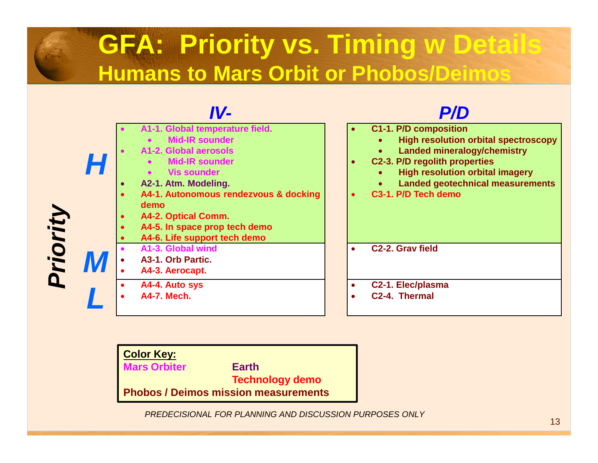## **GFA: Priority vs. Timing w DetailsHumans to Mars Orbit or Phobos/Deimos**

|          | IV-                                                                                                                                                                                                                                                                                                      | <b>P/D</b>                                                                                                                                                                                                                                                                        |
|----------|----------------------------------------------------------------------------------------------------------------------------------------------------------------------------------------------------------------------------------------------------------------------------------------------------------|-----------------------------------------------------------------------------------------------------------------------------------------------------------------------------------------------------------------------------------------------------------------------------------|
| Priority | A1-1. Global temperature field.<br><b>Mid-IR sounder</b><br>A1-2. Global aerosols<br><b>Mid-IR sounder</b><br><b>Vis sounder</b><br>A2-1. Atm. Modeling.<br>A4-1. Autonomous rendezvous & docking<br><b>demo</b><br>A4-2. Optical Comm.<br>A4-5. In space prop tech demo<br>A4-6. Life support tech demo | C1-1. P/D composition<br><b>High resolution orbital spectroscopy</b><br><b>Landed mineralogy/chemistry</b><br>$\bullet$<br>C2-3. P/D regolith properties<br>$\bullet$<br><b>High resolution orbital imagery</b><br><b>Landed geotechnical measurements</b><br>C3-1. P/D Tech demo |
|          | A1-3. Global wind<br>A3-1. Orb Partic.<br>A4-3. Aerocapt.                                                                                                                                                                                                                                                | C <sub>2</sub> -2. Grav field<br>$\bullet$                                                                                                                                                                                                                                        |
|          | A4-4. Auto sys<br><b>A4-7. Mech.</b>                                                                                                                                                                                                                                                                     | C2-1. Elec/plasma<br>C2-4. Thermal                                                                                                                                                                                                                                                |

**Color Key: Mars Orbiter Earth Technology demoPhobos / Deimos mission measurements**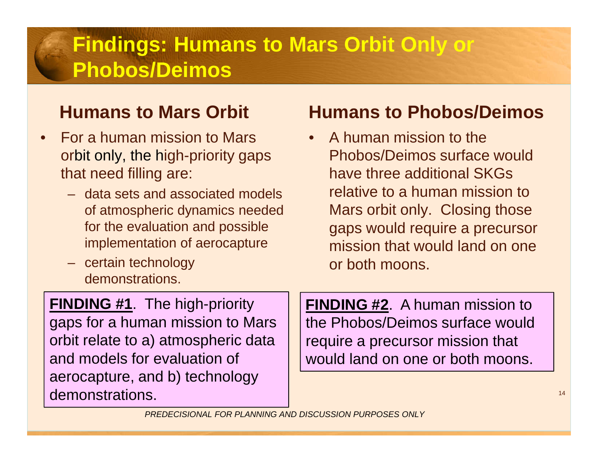### **Findings: Humans to Mars Orbit Only or Phobos/Deimos**

#### **Humans to Mars Orbit**

- • For a human mission to Mars orbit only, the high-priority gaps that need filling are:
	- data sets and associated models of atmospheric dynamics needed for the evaluation and possible implementation of aerocapture
	- certain technology demonstrations.

### **Humans to Phobos/Deimos**

• A human mission to the Phobos/Deimos surface would have three additional SKGs relative to a human mission to Mars orbit only. Closing those gaps would require a precursor mission that would land on one or both moons.

**FINDING #1**. The high-priority gaps for a human mission to Mars orbit relate to a) atmospheric data and models for evaluation of aerocapture, and b) technology demonstrations.

**FINDING #2**. A human mission to the Phobos/Deimos surface would require a precursor mission that would land on one or both moons.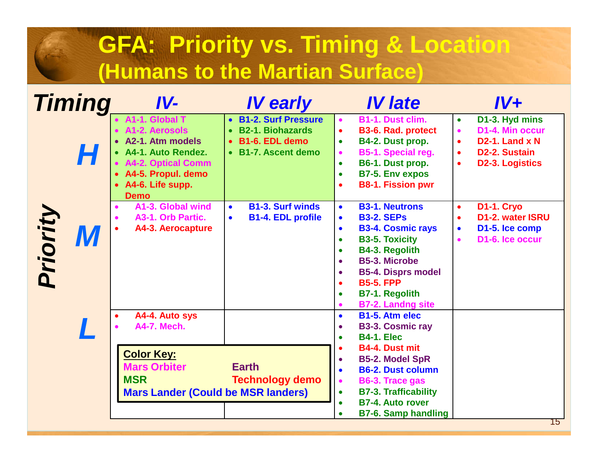## **GFA: Priority vs. Timing & Location(Humans to the Martian Surface)**

|          | <b>Timing</b> | $IV-$                                                                                                                                                                   | <b>IV early</b>                                                                             | <b>IV late</b>                                                                                                                                                                                                                                                                                                                                  | $IV+$                                                                                                                                                                                     |
|----------|---------------|-------------------------------------------------------------------------------------------------------------------------------------------------------------------------|---------------------------------------------------------------------------------------------|-------------------------------------------------------------------------------------------------------------------------------------------------------------------------------------------------------------------------------------------------------------------------------------------------------------------------------------------------|-------------------------------------------------------------------------------------------------------------------------------------------------------------------------------------------|
|          | H             | • A1-1, Global T<br>• A1-2. Aerosols<br>• A2-1. Atm models<br>• A4-1. Auto Rendez.<br>• A4-2. Optical Comm<br>• A4-5. Propul. demo<br>• A4-6. Life supp.<br><b>Demo</b> | • B1-2. Surf Pressure<br><b>B2-1. Biohazards</b><br>• B1-6. EDL demo<br>• B1-7. Ascent demo | B1-1. Dust clim.<br><b>B3-6. Rad. protect</b><br>$\bullet$<br>B4-2. Dust prop.<br>$\bullet$<br>B5-1. Special reg.<br>$\bullet$<br>B6-1. Dust prop.<br>$\bullet$<br><b>B7-5. Env expos</b><br>$\bullet$<br><b>B8-1. Fission pwr</b>                                                                                                              | D1-3. Hyd mins<br>$\bullet$<br>D1-4. Min occur<br>$\bullet$<br>D <sub>2</sub> -1. Land x N<br>$\bullet$<br>D <sub>2</sub> -2. Sustain<br>$\bullet$<br><b>D2-3. Logistics</b><br>$\bullet$ |
| Priority | IVI           | A1-3. Global wind<br>A3-1. Orb Partic.<br>A4-3. Aerocapture                                                                                                             | <b>B1-3. Surf winds</b><br>$\bullet$<br><b>B1-4. EDL profile</b><br>$\bullet$               | <b>B3-1. Neutrons</b><br>$\bullet$<br><b>B3-2. SEPs</b><br>$\bullet$<br><b>B3-4. Cosmic rays</b><br>$\bullet$<br><b>B3-5. Toxicity</b><br>$\bullet$<br><b>B4-3. Regolith</b><br>$\bullet$<br><b>B5-3. Microbe</b><br>$\bullet$<br><b>B5-4. Disprs model</b><br><b>B5-5, FPP</b><br><b>B7-1. Regolith</b>                                        | <b>D1-1. Cryo</b><br>$\bullet$<br>D1-2. water ISRU<br>$\bullet$<br>D1-5. Ice comp<br>$\bullet$<br>D <sub>1</sub> -6, Ice occur<br>$\bullet$                                               |
|          |               | A4-4. Auto sys<br>$\bullet$<br><b>A4-7. Mech.</b><br><b>Color Key:</b><br><b>Mars Orbiter</b><br><b>MSR</b><br><b>Mars Lander (Could be MSR landers)</b>                | <b>Earth</b><br><b>Technology demo</b>                                                      | <b>B7-2. Landng site</b><br><b>B1-5. Atm elec</b><br>$\bullet$<br><b>B3-3. Cosmic ray</b><br><b>B4-1. Elec</b><br><b>B4-4. Dust mit</b><br><b>B5-2. Model SpR</b><br><b>B6-2. Dust column</b><br>B6-3. Trace gas<br>$\bullet$<br><b>B7-3. Trafficability</b><br>$\bullet$<br><b>B7-4. Auto rover</b><br>$\bullet$<br><b>B7-6. Samp handling</b> | 15                                                                                                                                                                                        |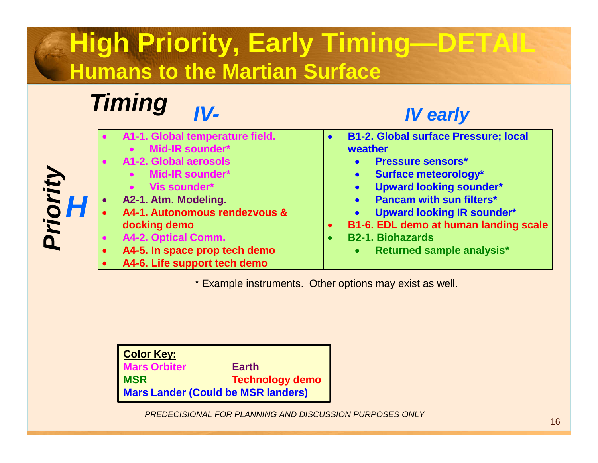## **High Priority, Early Timing—DETAILHumans to the Martian Surface**

#### **IV-Timing**

**H**

**Priority**

#### **IV early**

|           | A1-1. Global temperature field. |           | <b>B1-2. Global surface Pressure; local</b>    |
|-----------|---------------------------------|-----------|------------------------------------------------|
|           | Mid-IR sounder*                 |           | weather                                        |
|           | <b>A1-2. Global aerosols</b>    |           | <b>Pressure sensors*</b><br>$\bullet$          |
|           | • Mid-IR sounder*               |           | <b>Surface meteorology*</b><br>$\bullet$       |
|           | Vis sounder*<br>$\bullet$       |           | <b>Upward looking sounder*</b><br>$\bullet$    |
| $\bullet$ | A2-1. Atm. Modeling.            |           | <b>Pancam with sun filters*</b><br>$\bullet$   |
| $\bullet$ | A4-1. Autonomous rendezvous &   |           | <b>Upward looking IR sounder*</b><br>$\bullet$ |
|           | docking demo                    | $\bullet$ | B1-6. EDL demo at human landing scale          |
| $\bullet$ | A4-2. Optical Comm.             |           | <b>B2-1. Biohazards</b>                        |
| $\bullet$ | A4-5. In space prop tech demo   |           | Returned sample analysis*<br>$\bullet$         |
| $\bullet$ | A4-6. Life support tech demo    |           |                                                |
|           |                                 |           |                                                |

\* Example instruments. Other options may exist as well.

**Color Key: Mars Orbiter Earth Technology demo MSRMars Lander (Could be MSR landers)**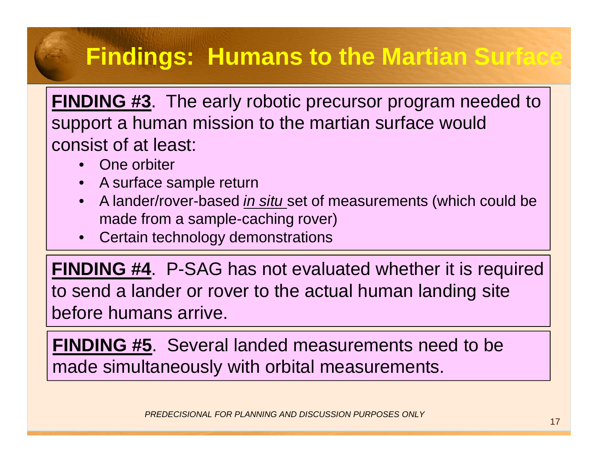## **Findings: Humans to the Martian Surface**

**FINDING #3**. The early robotic precursor program needed to support a human mission to the martian surface would consist of at least:

- •One orbiter
- •A surface sample return
- A lander/rover-based in situ set of measurements (which could be •made from a sample-caching rover)
- •Certain technology demonstrations

**FINDING #4**. P-SAG has not evaluated whether it is required to send a lander or rover to the actual human landing site before humans arrive.

**FINDING #5**. Several landed measurements need to be made simultaneously with orbital measurements.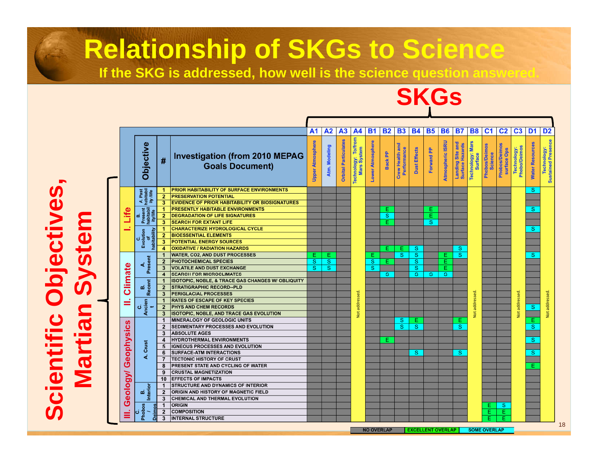## **Relationship of SKGs to Science**

**If the SKG is addressed, how well is the science question answered.**

## **SKGs**

|                                                                                                              |                                                                                                                                 |                         |                                                                 | A <sub>1</sub>   | A <sub>2</sub> | A <sub>3</sub>              | A4                                          | <b>B1</b>               | <b>B2</b> | <b>B3</b>                              | <b>B4</b>               | <b>B5</b>  | <b>B6</b>        | <b>B7</b>                           | <b>B8</b>                                    | C <sub>1</sub>           | C <sub>2</sub>                      | C <sub>3</sub>              | D <sub>1</sub>         | D <sub>2</sub>                    |
|--------------------------------------------------------------------------------------------------------------|---------------------------------------------------------------------------------------------------------------------------------|-------------------------|-----------------------------------------------------------------|------------------|----------------|-----------------------------|---------------------------------------------|-------------------------|-----------|----------------------------------------|-------------------------|------------|------------------|-------------------------------------|----------------------------------------------|--------------------------|-------------------------------------|-----------------------------|------------------------|-----------------------------------|
|                                                                                                              | <b>Objective</b>                                                                                                                | #                       | <b>Investigation (from 2010 MEPAG</b><br><b>Goals Document)</b> | Upper Atmosphere | Atm. Modeling  | <b>Orbital Particulates</b> | To/from<br>Technology: To/fr<br>Mars System | <b>Lower Atmosphere</b> | Back PP   | <b>Crew Health and<br/>Performance</b> | <b>Dust Effects</b>     | Forward PP | Atmospheric ISRU | Landing Site and<br>Surface Hazards | <b>Mars</b><br>Technology:<br><b>Surface</b> | Phobos/Deimos<br>Science | <b>Phobos/Deimos</b><br>surface Ops | Technology:<br>Phobo/Deimos | <b>Water Resources</b> | Technology:<br>Sustained Presence |
|                                                                                                              |                                                                                                                                 | -1.                     | <b>PRIOR HABITABILITY OF SURFACE ENVIRONMENTS</b>               |                  |                |                             |                                             |                         |           |                                        |                         |            |                  |                                     |                                              |                          |                                     |                             | S                      |                                   |
|                                                                                                              |                                                                                                                                 | $\overline{2}$          | <b>PRESERVATION POTENTIAL</b>                                   |                  |                |                             |                                             |                         |           |                                        |                         |            |                  |                                     |                                              |                          |                                     |                             |                        |                                   |
|                                                                                                              |                                                                                                                                 | 3                       | <b>EVIDENCE OF PRIOR HABITABILITY OR BIOSIGNATURES</b>          |                  |                |                             |                                             |                         |           |                                        |                         |            |                  |                                     |                                              |                          |                                     |                             |                        |                                   |
|                                                                                                              |                                                                                                                                 | 1                       | <b>PRESENTLY HABITABLE ENVIRONMENTS</b>                         |                  |                |                             |                                             |                         | Е         |                                        |                         | Е          |                  |                                     |                                              |                          |                                     |                             | S                      |                                   |
|                                                                                                              | m                                                                                                                               | $\overline{2}$          | <b>DEGRADATION OF LIFE SIGNATURES</b>                           |                  |                |                             |                                             |                         | S         |                                        |                         | Ε          |                  |                                     |                                              |                          |                                     |                             |                        |                                   |
| 出<br>Evolution<br>∢<br><b>Climate</b><br>σó<br>≓<br>ن<br>n<br>Geophysic<br>eology<br>m<br>ஶ<br><b>Phobos</b> |                                                                                                                                 | 3                       | <b>SEARCH FOR EXTANT LIFE</b>                                   |                  |                |                             |                                             |                         | E.        |                                        |                         | S          |                  |                                     |                                              |                          |                                     |                             |                        |                                   |
|                                                                                                              |                                                                                                                                 | 1                       | <b>CHARACTERIZE HYDROLOGICAL CYCLE</b>                          |                  |                |                             |                                             |                         |           |                                        |                         |            |                  |                                     |                                              |                          |                                     |                             | S                      |                                   |
|                                                                                                              |                                                                                                                                 | $\mathbf{2}$            | <b>BIOESSENTIAL ELEMENTS</b>                                    |                  |                |                             |                                             |                         |           |                                        |                         |            |                  |                                     |                                              |                          |                                     |                             |                        |                                   |
|                                                                                                              |                                                                                                                                 | 3                       | <b>POTENTIAL ENERGY SOURCES</b>                                 |                  |                |                             |                                             |                         |           |                                        |                         |            |                  |                                     |                                              |                          |                                     |                             |                        |                                   |
|                                                                                                              |                                                                                                                                 | 4                       | <b>OXIDATIVE / RADIATION HAZARDS</b>                            |                  |                |                             |                                             |                         | E.        | E                                      | <sub>S</sub>            |            |                  | S                                   |                                              |                          |                                     |                             |                        |                                   |
|                                                                                                              |                                                                                                                                 | $\mathbf 1$             | <b>WATER, CO2, AND DUST PROCESSES</b>                           | E.               | E.             |                             |                                             | Е                       |           | <sub>S</sub>                           | <sub>S</sub>            |            | Е                | <sub>S</sub>                        |                                              |                          |                                     |                             | S                      |                                   |
|                                                                                                              |                                                                                                                                 | $\overline{2}$          | PHOTOCHEMICAL SPECIES                                           | S                | S              |                             |                                             | $\mathbf{s}$            | Е         |                                        | S                       |            | Е                |                                     |                                              |                          |                                     |                             |                        |                                   |
|                                                                                                              |                                                                                                                                 | 3                       | <b>VOLATILE AND DUST EXCHANGE</b>                               | S                | <sub>S</sub>   |                             |                                             | <sub>S</sub>            |           |                                        | S                       |            | Ē                |                                     |                                              |                          |                                     |                             |                        |                                   |
|                                                                                                              |                                                                                                                                 | $\overline{\mathbf{4}}$ | <b>SEARCH FOR MICROCLIMATES</b>                                 |                  |                |                             |                                             |                         | S.        |                                        | $\overline{\mathbf{s}}$ | <b>S</b>   | S.               |                                     |                                              |                          |                                     |                             |                        |                                   |
|                                                                                                              |                                                                                                                                 | $\mathbf{1}$            | <b>ISOTOPIC, NOBLE, &amp; TRACE GAS CHANGES W/ OBLIQUITY</b>    |                  |                |                             |                                             |                         |           |                                        |                         |            |                  |                                     |                                              |                          |                                     |                             |                        |                                   |
|                                                                                                              |                                                                                                                                 | $\overline{2}$          | <b>STRATIGRAPHIC RECORD--PLD</b>                                |                  |                |                             |                                             |                         |           |                                        |                         |            |                  |                                     |                                              |                          |                                     |                             |                        |                                   |
|                                                                                                              |                                                                                                                                 | 3                       | <b>PERIGLACIAL PROCESSES</b>                                    |                  |                |                             |                                             |                         |           |                                        |                         |            |                  |                                     |                                              |                          |                                     |                             |                        |                                   |
|                                                                                                              |                                                                                                                                 | 1                       | <b>RATES OF ESCAPE OF KEY SPECIES</b>                           |                  |                |                             |                                             |                         |           |                                        |                         |            |                  |                                     |                                              |                          |                                     |                             |                        |                                   |
|                                                                                                              |                                                                                                                                 | $\overline{2}$          | <b>PHYS AND CHEM RECORDS</b>                                    |                  |                |                             | Not addressed                               |                         |           |                                        |                         |            |                  |                                     | Not addressed.                               |                          |                                     | Not addressed.              | $\mathbf{s}$           |                                   |
|                                                                                                              |                                                                                                                                 | $\mathbf{3}$            | <b>ISOTOPIC, NOBLE, AND TRACE GAS EVOLUTION</b>                 |                  |                |                             |                                             |                         |           |                                        |                         |            |                  |                                     |                                              |                          |                                     |                             |                        |                                   |
| Present<br><b>Recent</b><br>Ancien<br>Crust<br>ď.<br>Interior                                                |                                                                                                                                 | $\mathbf{1}$            | MINERALOGY OF GEOLOGIC UNITS                                    |                  |                |                             |                                             |                         |           | S                                      | Ε.                      |            |                  | Е                                   |                                              |                          |                                     |                             | Ε.                     |                                   |
|                                                                                                              |                                                                                                                                 | $\overline{2}$          | SEDIMENTARY PROCESSES AND EVOLUTION                             |                  |                |                             |                                             |                         |           | S                                      | <sub>S</sub>            |            |                  | <sub>S</sub>                        |                                              |                          |                                     |                             | S                      |                                   |
|                                                                                                              |                                                                                                                                 | 3                       | <b>ABSOLUTE AGES</b>                                            |                  |                |                             |                                             |                         |           |                                        |                         |            |                  |                                     |                                              |                          |                                     |                             |                        |                                   |
|                                                                                                              |                                                                                                                                 | $\overline{\mathbf{4}}$ | <b>HYDROTHERMAL ENVIRONMENTS</b>                                |                  |                |                             |                                             |                         | Ε.        |                                        |                         |            |                  |                                     |                                              |                          |                                     |                             | S                      |                                   |
|                                                                                                              |                                                                                                                                 | 5                       | <b>IGNEOUS PROCESSES AND EVOLUTION</b>                          |                  |                |                             |                                             |                         |           |                                        |                         |            |                  |                                     |                                              |                          |                                     |                             |                        |                                   |
|                                                                                                              |                                                                                                                                 | 6                       | <b>SURFACE-ATM INTERACTIONS</b>                                 |                  |                |                             |                                             |                         |           |                                        | S                       |            |                  | S                                   |                                              |                          |                                     |                             | S                      |                                   |
|                                                                                                              |                                                                                                                                 | $\overline{7}$          | <b>TECTONIC HISTORY OF CRUST</b>                                |                  |                |                             |                                             |                         |           |                                        |                         |            |                  |                                     |                                              |                          |                                     |                             |                        |                                   |
|                                                                                                              |                                                                                                                                 | 8                       | PRESENT STATE AND CYCLING OF WATER                              |                  |                |                             |                                             |                         |           |                                        |                         |            |                  |                                     |                                              |                          |                                     |                             | E.                     |                                   |
|                                                                                                              |                                                                                                                                 | 9                       | <b>CRUSTAL MAGNETIZATION</b>                                    |                  |                |                             |                                             |                         |           |                                        |                         |            |                  |                                     |                                              |                          |                                     |                             |                        |                                   |
|                                                                                                              |                                                                                                                                 | 10                      | <b>EFFECTS OF IMPACTS</b>                                       |                  |                |                             |                                             |                         |           |                                        |                         |            |                  |                                     |                                              |                          |                                     |                             |                        |                                   |
|                                                                                                              |                                                                                                                                 |                         | STRUCTURE AND DYNAMICS OF INTERIOR                              |                  |                |                             |                                             |                         |           |                                        |                         |            |                  |                                     |                                              |                          |                                     |                             |                        |                                   |
|                                                                                                              |                                                                                                                                 | $\mathbf{1}$            | ORIGIN AND HISTORY OF MAGNETIC FIELD                            |                  |                |                             |                                             |                         |           |                                        |                         |            |                  |                                     |                                              |                          |                                     |                             |                        |                                   |
|                                                                                                              |                                                                                                                                 | $\overline{2}$          | CHEMICAL AND THERMAL EVOLUTION                                  |                  |                |                             |                                             |                         |           |                                        |                         |            |                  |                                     |                                              |                          |                                     |                             |                        |                                   |
|                                                                                                              |                                                                                                                                 | 3                       |                                                                 |                  |                |                             |                                             |                         |           |                                        |                         |            |                  |                                     |                                              |                          |                                     |                             |                        |                                   |
|                                                                                                              |                                                                                                                                 | $\mathbf{1}$            | <b>ORIGIN</b>                                                   |                  |                |                             |                                             |                         |           |                                        |                         |            |                  |                                     |                                              | Е.                       | <sub>S</sub>                        |                             |                        |                                   |
|                                                                                                              | A. Past<br>habitabil<br>ity /life<br>Present<br>habitabil<br>ity/life<br>of<br>habitability<br>$\overline{\phantom{a}}$<br>Deim | $\overline{\mathbf{2}}$ | <b>COMPOSITION</b>                                              |                  |                |                             |                                             |                         |           |                                        |                         |            |                  |                                     |                                              | Е.                       | Ε                                   |                             |                        |                                   |
|                                                                                                              |                                                                                                                                 | 3                       | <b>INTERNAL STRUCTURE</b>                                       |                  |                |                             |                                             |                         |           |                                        |                         |            |                  |                                     |                                              |                          | Έ                                   |                             |                        |                                   |

**Scientific Objectives,**  Scientific Objectives,<br>Martian System **Martian System**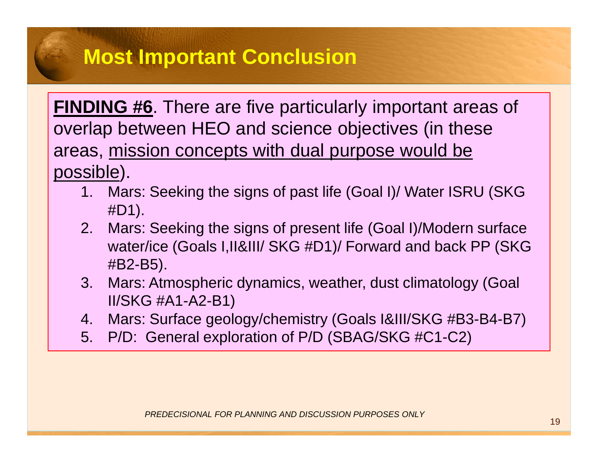### **Most Important Conclusion**

**FINDING #6**. There are five particularly important areas of overlap between HEO and science objectives (in these areas, mission concepts with dual purpose would be possible).

- 1. Mars: Seeking the signs of past life (Goal I)/ Water ISRU (SKG #D1).
- 2. Mars: Seeking the signs of present life (Goal I)/Modern surface water/ice (Goals I,II&III/ SKG #D1)/ Forward and back PP (SKG #B2-B5).
- 3. Mars: Atmospheric dynamics, weather, dust climatology (Goal II/SKG #A1-A2-B1)
- 4. Mars: Surface geology/chemistry (Goals I&III/SKG #B3-B4-B7)
- 5. P/D: General exploration of P/D (SBAG/SKG #C1-C2)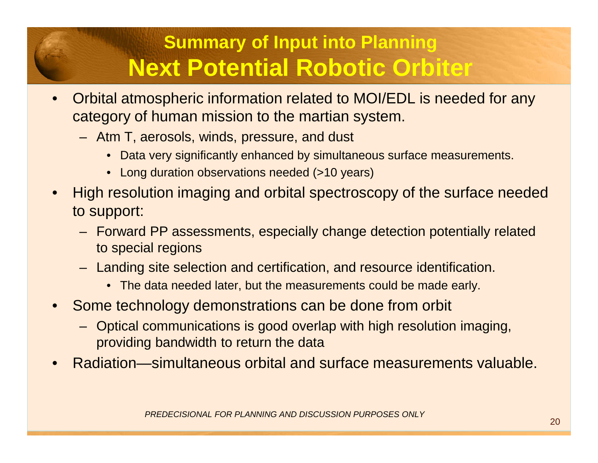### **Summary of Input into PlanningNext Potential Robotic Orbiter**

- • Orbital atmospheric information related to MOI/EDL is needed for any category of human mission to the martian system.
	- Atm T, aerosols, winds, pressure, and dust
		- Data very significantly enhanced by simultaneous surface measurements.
		- Long duration observations needed (>10 years)
- • High resolution imaging and orbital spectroscopy of the surface needed to support:
	- Forward PP assessments, especially change detection potentially related to special regions
	- Landing site selection and certification, and resource identification.
		- The data needed later, but the measurements could be made early.
- • Some technology demonstrations can be done from orbit
	- Optical communications is good overlap with high resolution imaging, providing bandwidth to return the data
- •Radiation—simultaneous orbital and surface measurements valuable.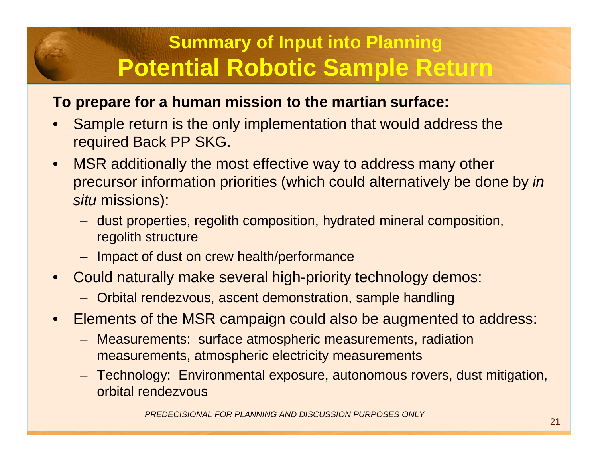### **Summary of Input into PlanningPotential Robotic Sample Return**

#### **To prepare for a human mission to the martian surface:**

- • Sample return is the only implementation that would address the required Back PP SKG.
- $\bullet$  MSR additionally the most effective way to address many other precursor information priorities (which could alternatively be done by in situ missions):
	- dust properties, regolith composition, hydrated mineral composition, regolith structure
	- Impact of dust on crew health/performance
- Could naturally make several high-priority technology demos:
	- Orbital rendezvous, ascent demonstration, sample handling
- • Elements of the MSR campaign could also be augmented to address:
	- Measurements: surface atmospheric measurements, radiationmeasurements, atmospheric electricity measurements
	- – Technology: Environmental exposure, autonomous rovers, dust mitigation, orbital rendezvous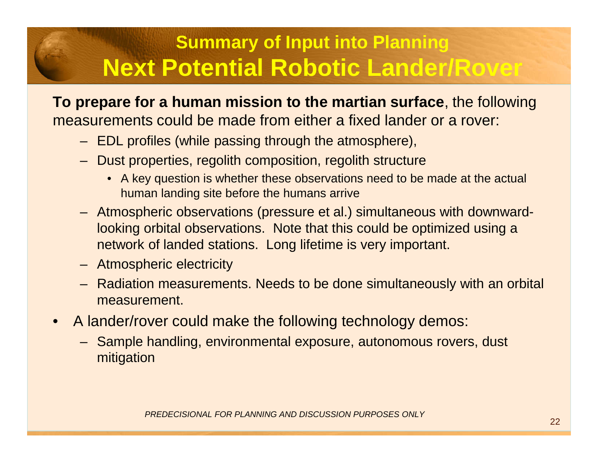### **Summary of Input into PlanningNext Potential Robotic Lander/Rover**

**To prepare for a human mission to the martian surface**, the following measurements could be made from either a fixed lander or a rover:

- EDL profiles (while passing through the atmosphere),
- Dust properties, regolith composition, regolith structure
	- A key question is whether these observations need to be made at the actual human landing site before the humans arrive
- Atmospheric observations (pressure et al.) simultaneous with downwardlooking orbital observations. Note that this could be optimized using a network of landed stations. Long lifetime is very important.
- Atmospheric electricity
- Radiation measurements. Needs to be done simultaneously with an orbital measurement.
- A lander/rover could make the following technology demos:
	- Sample handling, environmental exposure, autonomous rovers, dust mitigation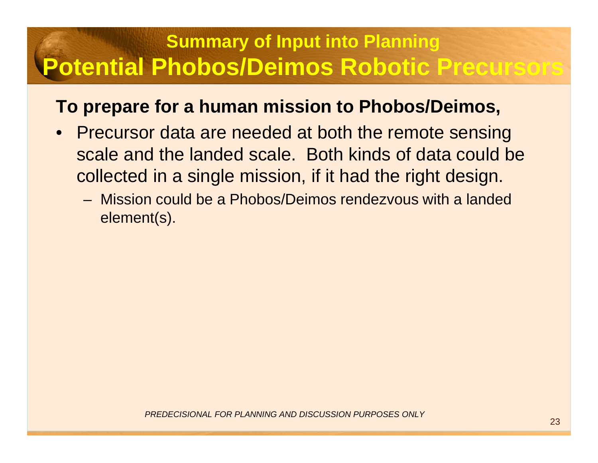### **Summary of Input into Planning Potential Phobos/Deimos Robotic Precursors**

#### **To prepare for a human mission to Phobos/Deimos,**

- Precursor data are needed at both the remote sensing scale and the landed scale. Both kinds of data could be collected in a single mission, if it had the right design.
	- Mission could be a Phobos/Deimos rendezvous with a landed element(s).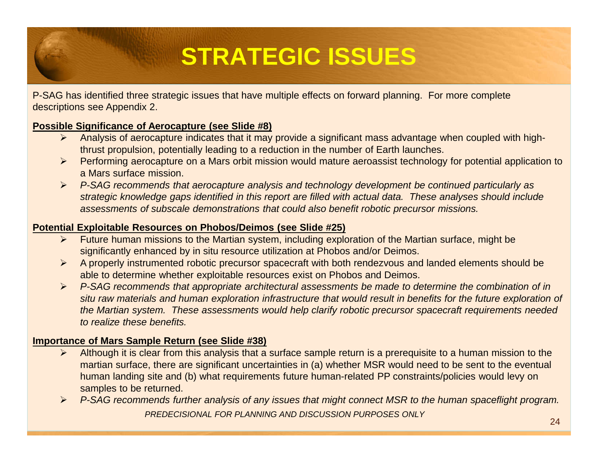## **STRATEGIC ISSUES**

P-SAG has identified three strategic issues that have multiple effects on forward planning. For more complete descriptions see Appendix 2.

#### **Possible Significance of Aerocapture (see Slide #8)**

- > Analysis of aerocapture indicates that it may provide a significant mass advantage when coupled with high-<br>thrust areaulaise, actorially leading to a reduction in the number of Earth lougabes. thrust propulsion, potentially leading to a reduction in the number of Earth launches.
- ► Performing aerocapture on a Mars orbit mission would mature aeroassist technology for potential application to<br>● Mars aurface mission a Mars surface mission.
- P-SAG recommends that aerocapture analysis and technology development be continued particularly as<br>etratoria knowledge gans identified in this report are filled with ectual data. These analyses should include strategic knowledge gaps identified in this report are filled with actual data. These analyses should include assessments of subscale demonstrations that could also benefit robotic precursor missions.

#### **Potential Exploitable Resources on Phobos/Deimos (see Slide #25)**

- > Future human missions to the Martian system, including exploration of the Martian surface, might be<br>electric onthe sphere of the situ resource utilization at Phobes and/or Deimee significantly enhanced by in situ resource utilization at Phobos and/or Deimos.
- $\blacktriangleright$  A properly instrumented robotic precursor spacecraft with both rendezvous and landed elements should be able to determine whether exploitable resources exist on Phobos and Deimos.
- P-SAG recommends that appropriate architectural assessments be made to determine the combination of in P-SAG recommends that appropriate architectural assessments be made to determine the combination of in situ raw materials and human exploration infrastructure that would result in benefits for the future exploration of the Martian system. These assessments would help clarify robotic precursor spacecraft requirements needed to realize these benefits.

#### **Importance of Mars Sample Return (see Slide #38)**

- Although it is clear from this analysis that a surface sample return is a prerequisite to a human mission to the<br>mertian ourface, there are significant uncertainties in (a) whether MSB would peed to be east to the overtual  $\blacktriangleright$ martian surface, there are significant uncertainties in (a) whether MSR would need to be sent to the eventual human landing site and (b) what requirements future human-related PP constraints/policies would levy on samples to be returned.
- PREDECISIONAL FOR PLANNING AND DISCUSSION PURPOSES ONLY- P-SAG recommends further analysis of any issues that might connect MSR to the human spaceflight program.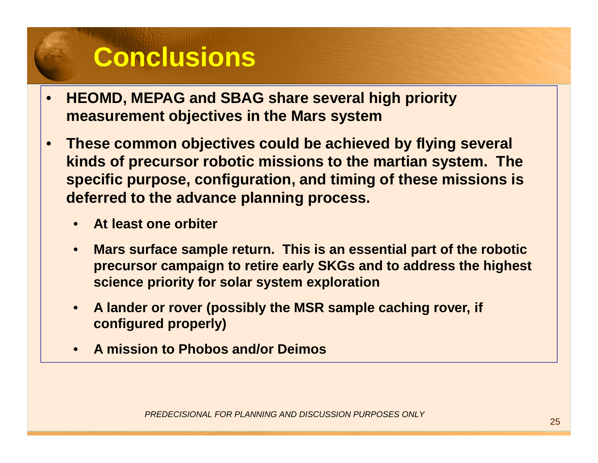## **Conclusions**

- • **HEOMD, MEPAG and SBAG share several high priority measurement objectives in the Mars system**
- $\bullet$  **These common objectives could be achieved by flying several kinds of precursor robotic missions to the martian system. The specific purpose, configuration, and timing of these missions is deferred to the advance planning process.**
	- **At least one orbiter**
	- **Mars surface sample return. This is an essential part of the robotic precursor campaign to retire early SKGs and to address the highest science priority for solar system exploration**
	- **A lander or rover (possibly the MSR sample caching rover, if configured properly)**
	- **A mission to Phobos and/or Deimos**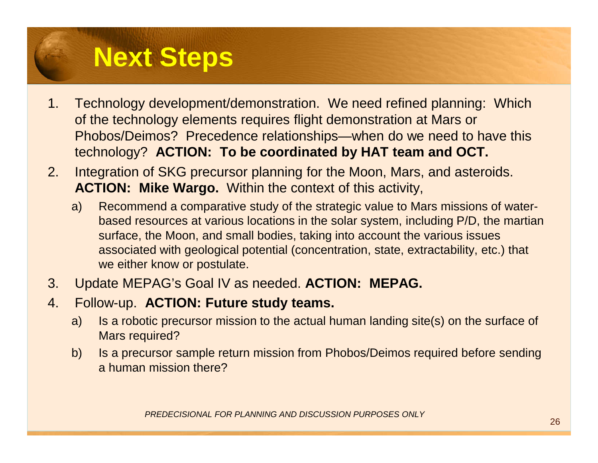# **Next Steps**

- 1. Technology development/demonstration. We need refined planning: Which of the technology elements requires flight demonstration at Mars or Phobos/Deimos? Precedence relationships—when do we need to have this technology? **ACTION: To be coordinated by HAT team and OCT.**
- 2. Integration of SKG precursor planning for the Moon, Mars, and asteroids. **ACTION: Mike Wargo.** Within the context of this activity,
	- a) Recommend a comparative study of the strategic value to Mars missions of waterbased resources at various locations in the solar system, including P/D, the martiansurface, the Moon, and small bodies, taking into account the various issues associated with geological potential (concentration, state, extractability, etc.) that we either know or postulate.
- 3. Update MEPAG's Goal IV as needed. **ACTION: MEPAG.**
- 4. Follow-up. **ACTION: Future study teams.**
	- a) Is a robotic precursor mission to the actual human landing site(s) on the surface of Mars required?
	- b) Is a precursor sample return mission from Phobos/Deimos required before sending a human mission there?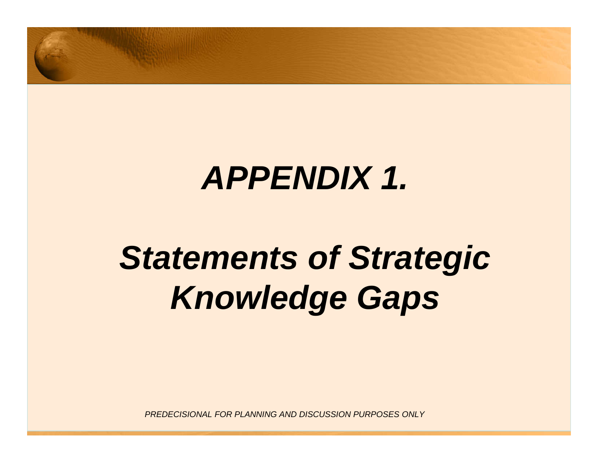

# **APPENDIX 1.**

# **Statements of Strategic Knowledge Gaps**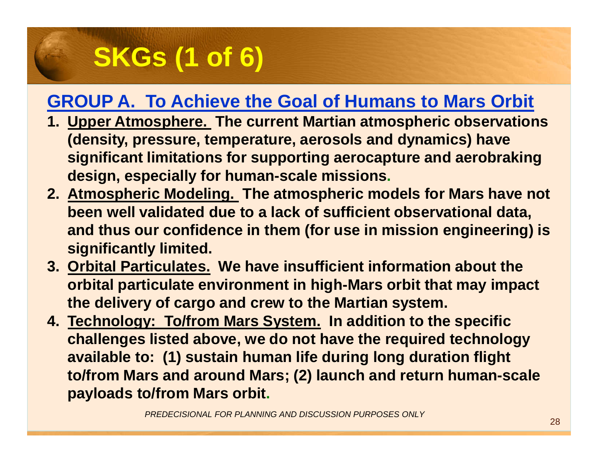# **SKGs (1 of 6)**

### **GROUP A. To Achieve the Goal of Humans to Mars Orbit**

- **1. Upper Atmosphere. The current Martian atmospheric observations (density, pressure, temperature, aerosols and dynamics) have significant limitations for supporting aerocapture and aerobrakingdesign, especially for human-scale missions.**
- **2. Atmospheric Modeling. The atmospheric models for Mars have not been well validated due to a lack of sufficient observational data, and thus our confidence in them (for use in mission engineering) is significantly limited.**
- **3. Orbital Particulates. We have insufficient information about the orbital particulate environment in high-Mars orbit that may impact the delivery of cargo and crew to the Martian system.**
- **4. Technology: To/from Mars System. In addition to the specific challenges listed above, we do not have the required technology available to: (1) sustain human life during long duration flight to/from Mars and around Mars; (2) launch and return human-scale payloads to/from Mars orbit.**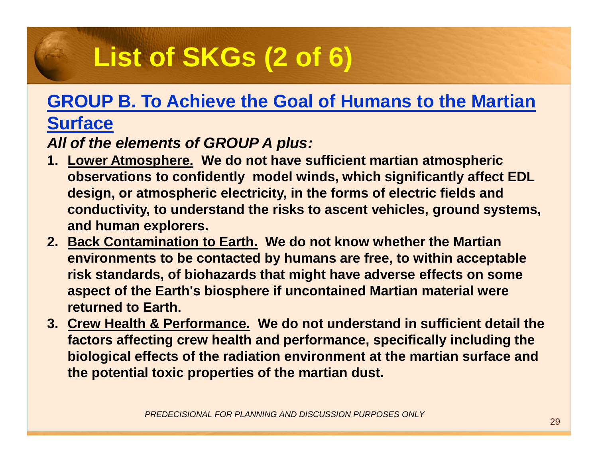# **List of SKGs (2 of 6)**

### **GROUP B. To Achieve the Goal of Humans to the Martian**

#### **Surface**

#### **All of the elements of GROUP A plus:**

- **1. Lower Atmosphere. We do not have sufficient martian atmospheric observations to confidently model winds, which significantly affect EDL design, or atmospheric electricity, in the forms of electric fields and conductivity, to understand the risks to ascent vehicles, ground systems, and human explorers.**
- **2. Back Contamination to Earth. We do not know whether the Martian environments to be contacted by humans are free, to within acceptable risk standards, of biohazards that might have adverse effects on some aspect of the Earth's biosphere if uncontained Martian material were returned to Earth.**
- **3. Crew Health & Performance. We do not understand in sufficient detail the factors affecting crew health and performance, specifically including the biological effects of the radiation environment at the martian surface and the potential toxic properties of the martian dust.**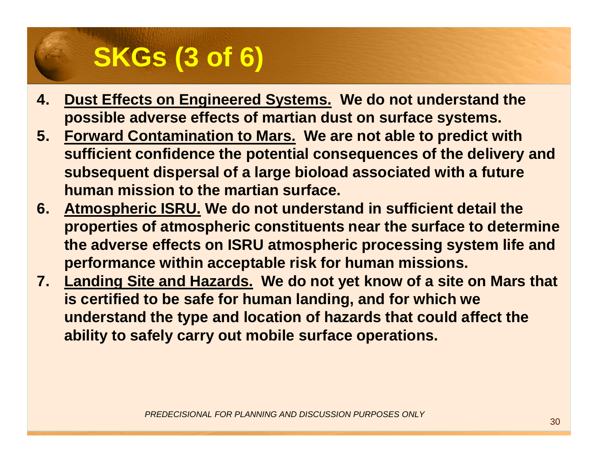# **SKGs (3 of 6)**

- **4. Dust Effects on Engineered Systems. We do not understand the possible adverse effects of martian dust on surface systems.**
- **5. Forward Contamination to Mars. We are not able to predict with sufficient confidence the potential consequences of the delivery and subsequent dispersal of a large bioload associated with a future human mission to the martian surface.**
- **6. Atmospheric ISRU. We do not understand in sufficient detail the properties of atmospheric constituents near the surface to determine the adverse effects on ISRU atmospheric processing system life and performance within acceptable risk for human missions.**
- **7. Landing Site and Hazards. We do not yet know of a site on Mars that is certified to be safe for human landing, and for which we understand the type and location of hazards that could affect the ability to safely carry out mobile surface operations.**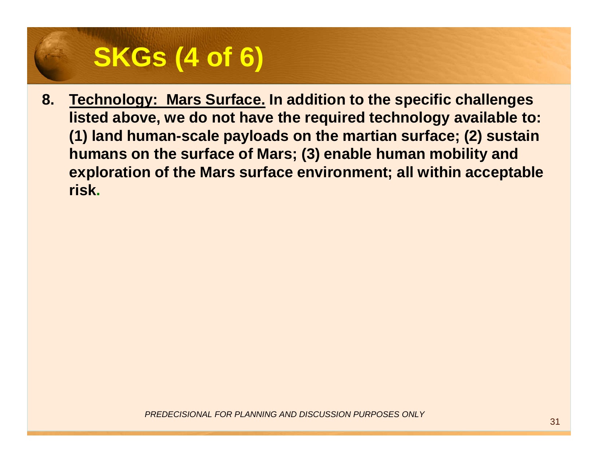# **SKGs (4 of 6)**

**8. Technology: Mars Surface. In addition to the specific challenges listed above, we do not have the required technology available to: (1) land human-scale payloads on the martian surface; (2) sustain humans on the surface of Mars; (3) enable human mobility and exploration of the Mars surface environment; all within acceptable risk.**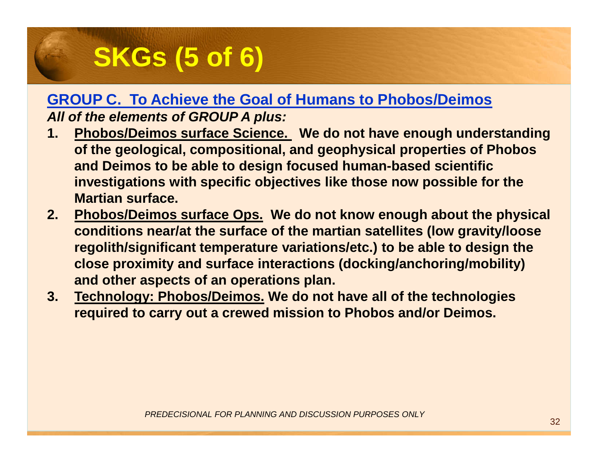# **SKGs (5 of 6)**

#### **GROUP C. To Achieve the Goal of Humans to Phobos/DeimosAll of the elements of GROUP A plus:**

- **1. Phobos/Deimos surface Science. We do not have enough understanding of the geological, compositional, and geophysical properties of Phobosand Deimos to be able to design focused human-based scientific investigations with specific objectives like those now possible for the Martian surface.**
- **2. Phobos/Deimos surface Ops. We do not know enough about the physical conditions near/at the surface of the martian satellites (low gravity/loose regolith/significant temperature variations/etc.) to be able to design the close proximity and surface interactions (docking/anchoring/mobility) and other aspects of an operations plan.**
- **3. Technology: Phobos/Deimos. We do not have all of the technologies required to carry out a crewed mission to Phobos and/or Deimos.**